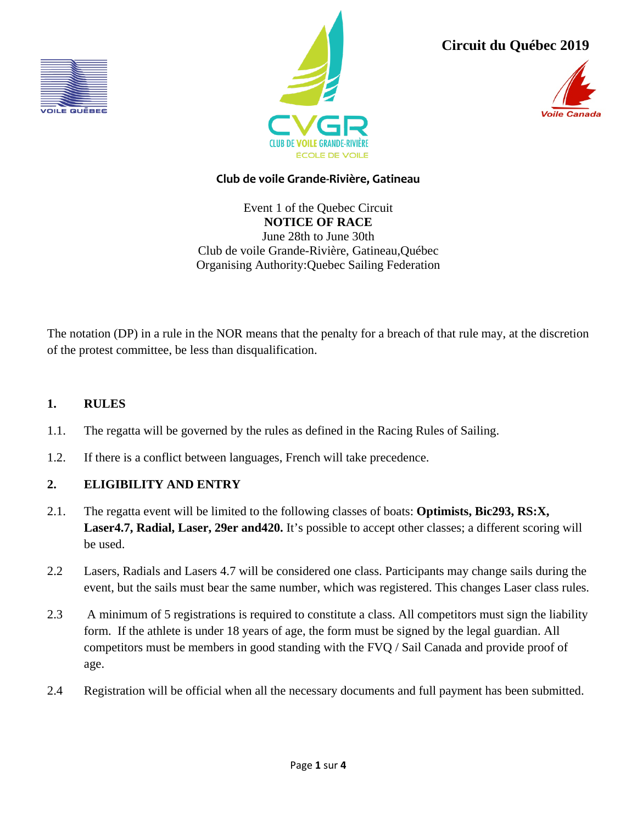



**Circuit du Québec 2019**



# **Club de voile Grande-Rivière, Gatineau**

Event 1 of the Quebec Circuit **NOTICE OF RACE** June 28th to June 30th Club de voile Grande-Rivière, Gatineau,Québec Organising Authority:Quebec Sailing Federation

The notation (DP) in a rule in the NOR means that the penalty for a breach of that rule may, at the discretion of the protest committee, be less than disqualification.

# **1. RULES**

- 1.1. The regatta will be governed by the rules as defined in the Racing Rules of Sailing.
- 1.2. If there is a conflict between languages, French will take precedence.

### **2. ELIGIBILITY AND ENTRY**

- 2.1. The regatta event will be limited to the following classes of boats: **Optimists, Bic293, RS:X, Laser4.7, Radial, Laser, 29er and420.** It's possible to accept other classes; a different scoring will be used.
- 2.2 Lasers, Radials and Lasers 4.7 will be considered one class. Participants may change sails during the event, but the sails must bear the same number, which was registered. This changes Laser class rules.
- 2.3 A minimum of 5 registrations is required to constitute a class. All competitors must sign the liability form. If the athlete is under 18 years of age, the form must be signed by the legal guardian. All competitors must be members in good standing with the FVQ / Sail Canada and provide proof of age.
- 2.4 Registration will be official when all the necessary documents and full payment has been submitted.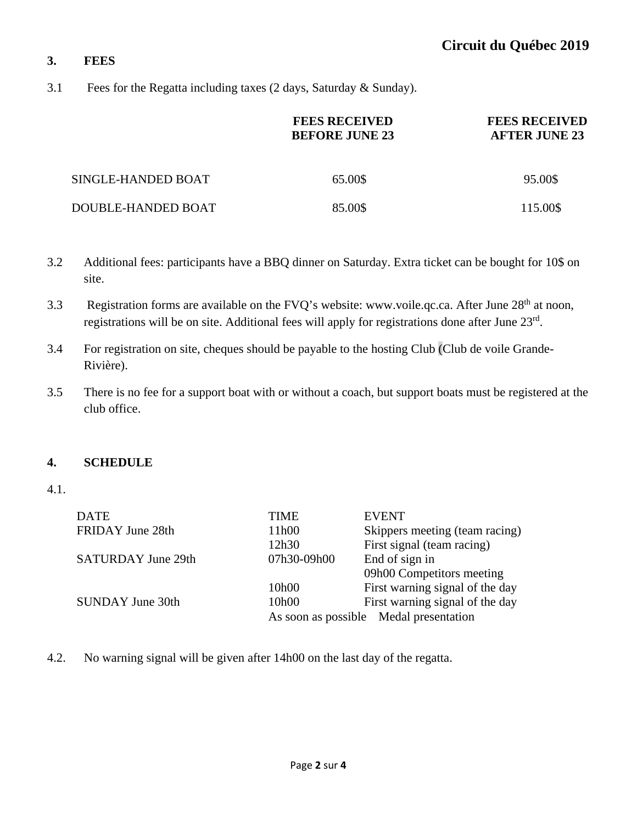### **3. FEES**

3.1 Fees for the Regatta including taxes (2 days, Saturday & Sunday).

|                    | <b>FEES RECEIVED</b><br><b>BEFORE JUNE 23</b> | <b>FEES RECEIVED</b><br><b>AFTER JUNE 23</b> |
|--------------------|-----------------------------------------------|----------------------------------------------|
| SINGLE-HANDED BOAT | 65.00\$                                       | 95.00\$                                      |
| DOUBLE-HANDED BOAT | 85.00\$                                       | 115.00\$                                     |

- 3.2 Additional fees: participants have a BBQ dinner on Saturday. Extra ticket can be bought for 10\$ on site.
- 3.3 Registration forms are available on the FVQ's website: www.voile.qc.ca. After June 28<sup>th</sup> at noon, registrations will be on site. Additional fees will apply for registrations done after June 23rd.
- 3.4 For registration on site, cheques should be payable to the hosting Club (Club de voile Grande-Rivière).
- 3.5 There is no fee for a support boat with or without a coach, but support boats must be registered at the club office.

### **4. SCHEDULE**

4.1.

| <b>DATE</b>               | TIME        | <b>EVENT</b>                           |
|---------------------------|-------------|----------------------------------------|
| FRIDAY June 28th          | 11h00       | Skippers meeting (team racing)         |
|                           | 12h30       | First signal (team racing)             |
| <b>SATURDAY June 29th</b> | 07h30-09h00 | End of sign in                         |
|                           |             | 09h00 Competitors meeting              |
|                           | 10h00       | First warning signal of the day        |
| <b>SUNDAY June 30th</b>   | 10h00       | First warning signal of the day        |
|                           |             | As soon as possible Medal presentation |

4.2. No warning signal will be given after 14h00 on the last day of the regatta.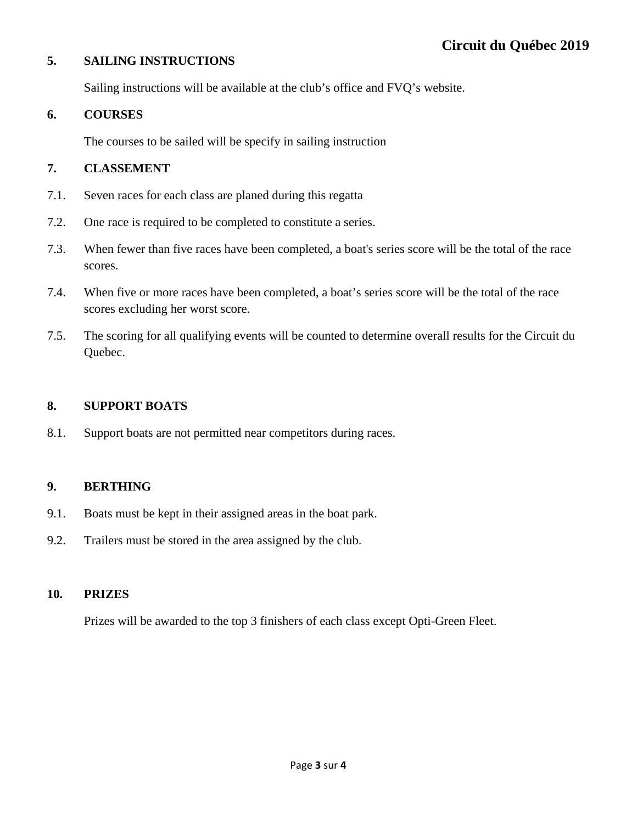### **5. SAILING INSTRUCTIONS**

Sailing instructions will be available at the club's office and FVQ's website.

### **6. COURSES**

The courses to be sailed will be specify in sailing instruction

#### **7. CLASSEMENT**

- 7.1. Seven races for each class are planed during this regatta
- 7.2. One race is required to be completed to constitute a series.
- 7.3. When fewer than five races have been completed, a boat's series score will be the total of the race scores.
- 7.4. When five or more races have been completed, a boat's series score will be the total of the race scores excluding her worst score.
- 7.5. The scoring for all qualifying events will be counted to determine overall results for the Circuit du Quebec.

### **8. SUPPORT BOATS**

8.1. Support boats are not permitted near competitors during races.

### **9. BERTHING**

- 9.1. Boats must be kept in their assigned areas in the boat park.
- 9.2. Trailers must be stored in the area assigned by the club.

### **10. PRIZES**

Prizes will be awarded to the top 3 finishers of each class except Opti-Green Fleet.